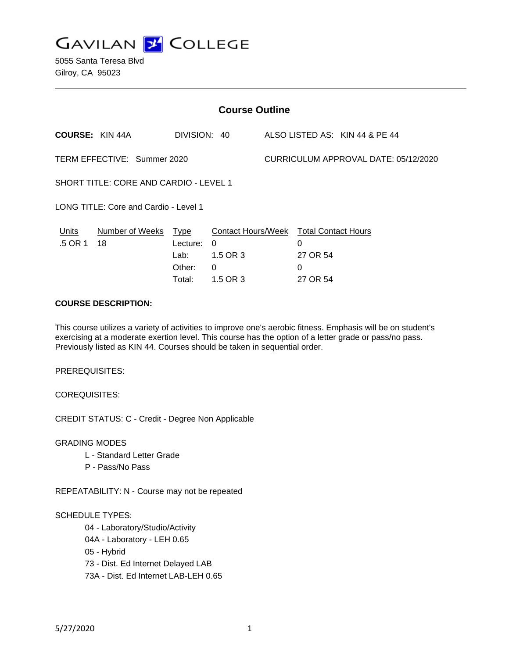

| <b>Course Outline</b>                         |                                              |                                      |                                |                                                                          |
|-----------------------------------------------|----------------------------------------------|--------------------------------------|--------------------------------|--------------------------------------------------------------------------|
|                                               |                                              |                                      |                                |                                                                          |
| TERM EFFECTIVE: Summer 2020                   |                                              | CURRICULUM APPROVAL DATE: 05/12/2020 |                                |                                                                          |
| <b>SHORT TITLE: CORE AND CARDIO - LEVEL 1</b> |                                              |                                      |                                |                                                                          |
| LONG TITLE: Core and Cardio - Level 1         |                                              |                                      |                                |                                                                          |
| Lecture:<br>Lab:<br>Other:<br>Total:          | $\Omega$<br>1.5 OR 3<br>$\Omega$<br>1.5 OR 3 |                                      | 0<br>27 OR 54<br>0<br>27 OR 54 |                                                                          |
|                                               | Number of Weeks Type                         | DIVISION: 40                         |                                | ALSO LISTED AS: KIN 44 & PE 44<br>Contact Hours/Week Total Contact Hours |

## **COURSE DESCRIPTION:**

This course utilizes a variety of activities to improve one's aerobic fitness. Emphasis will be on student's exercising at a moderate exertion level. This course has the option of a letter grade or pass/no pass. Previously listed as KIN 44. Courses should be taken in sequential order.

PREREQUISITES:

COREQUISITES:

CREDIT STATUS: C - Credit - Degree Non Applicable

GRADING MODES

- L Standard Letter Grade
- P Pass/No Pass

REPEATABILITY: N - Course may not be repeated

#### SCHEDULE TYPES:

04 - Laboratory/Studio/Activity

- 04A Laboratory LEH 0.65
- 05 Hybrid

73 - Dist. Ed Internet Delayed LAB

73A - Dist. Ed Internet LAB-LEH 0.65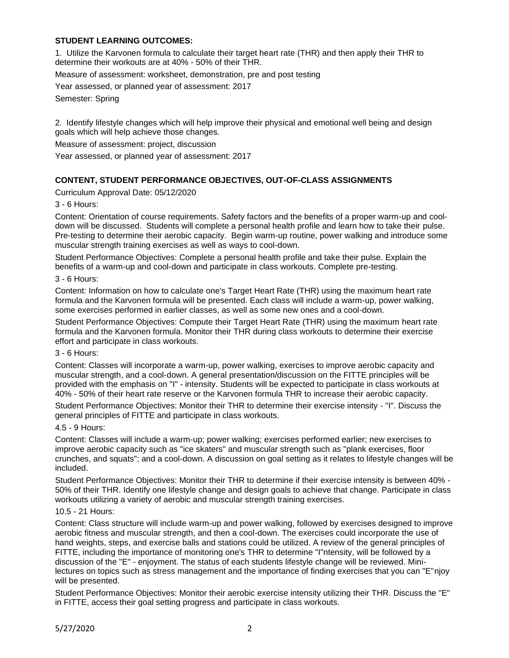### **STUDENT LEARNING OUTCOMES:**

1. Utilize the Karvonen formula to calculate their target heart rate (THR) and then apply their THR to determine their workouts are at 40% - 50% of their THR.

Measure of assessment: worksheet, demonstration, pre and post testing

Year assessed, or planned year of assessment: 2017

Semester: Spring

2. Identify lifestyle changes which will help improve their physical and emotional well being and design goals which will help achieve those changes.

Measure of assessment: project, discussion

Year assessed, or planned year of assessment: 2017

### **CONTENT, STUDENT PERFORMANCE OBJECTIVES, OUT-OF-CLASS ASSIGNMENTS**

Curriculum Approval Date: 05/12/2020

3 - 6 Hours:

Content: Orientation of course requirements. Safety factors and the benefits of a proper warm-up and cooldown will be discussed. Students will complete a personal health profile and learn how to take their pulse. Pre-testing to determine their aerobic capacity. Begin warm-up routine, power walking and introduce some muscular strength training exercises as well as ways to cool-down.

Student Performance Objectives: Complete a personal health profile and take their pulse. Explain the benefits of a warm-up and cool-down and participate in class workouts. Complete pre-testing.

3 - 6 Hours:

Content: Information on how to calculate one's Target Heart Rate (THR) using the maximum heart rate formula and the Karvonen formula will be presented. Each class will include a warm-up, power walking, some exercises performed in earlier classes, as well as some new ones and a cool-down.

Student Performance Objectives: Compute their Target Heart Rate (THR) using the maximum heart rate formula and the Karvonen formula. Monitor their THR during class workouts to determine their exercise effort and participate in class workouts.

3 - 6 Hours:

Content: Classes will incorporate a warm-up, power walking, exercises to improve aerobic capacity and muscular strength, and a cool-down. A general presentation/discussion on the FITTE principles will be provided with the emphasis on "I" - intensity. Students will be expected to participate in class workouts at 40% - 50% of their heart rate reserve or the Karvonen formula THR to increase their aerobic capacity.

Student Performance Objectives: Monitor their THR to determine their exercise intensity - "I". Discuss the general principles of FITTE and participate in class workouts.

#### 4.5 - 9 Hours:

Content: Classes will include a warm-up; power walking; exercises performed earlier; new exercises to improve aerobic capacity such as "ice skaters" and muscular strength such as "plank exercises, floor crunches, and squats"; and a cool-down. A discussion on goal setting as it relates to lifestyle changes will be included.

Student Performance Objectives: Monitor their THR to determine if their exercise intensity is between 40% - 50% of their THR. Identify one lifestyle change and design goals to achieve that change. Participate in class workouts utilizing a variety of aerobic and muscular strength training exercises.

#### 10.5 - 21 Hours:

Content: Class structure will include warm-up and power walking, followed by exercises designed to improve aerobic fitness and muscular strength, and then a cool-down. The exercises could incorporate the use of hand weights, steps, and exercise balls and stations could be utilized. A review of the general principles of FITTE, including the importance of monitoring one's THR to determine "I"ntensity, will be followed by a discussion of the "E" - enjoyment. The status of each students lifestyle change will be reviewed. Minilectures on topics such as stress management and the importance of finding exercises that you can "E"njoy will be presented.

Student Performance Objectives: Monitor their aerobic exercise intensity utilizing their THR. Discuss the "E" in FITTE, access their goal setting progress and participate in class workouts.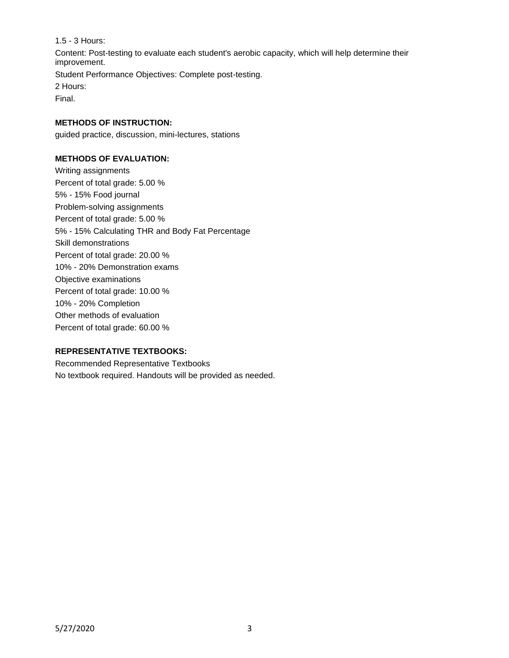1.5 - 3 Hours: Content: Post-testing to evaluate each student's aerobic capacity, which will help determine their improvement. Student Performance Objectives: Complete post-testing. 2 Hours: Final.

## **METHODS OF INSTRUCTION:**

guided practice, discussion, mini-lectures, stations

## **METHODS OF EVALUATION:**

Writing assignments Percent of total grade: 5.00 % 5% - 15% Food journal Problem-solving assignments Percent of total grade: 5.00 % 5% - 15% Calculating THR and Body Fat Percentage Skill demonstrations Percent of total grade: 20.00 % 10% - 20% Demonstration exams Objective examinations Percent of total grade: 10.00 % 10% - 20% Completion Other methods of evaluation Percent of total grade: 60.00 %

# **REPRESENTATIVE TEXTBOOKS:**

Recommended Representative Textbooks No textbook required. Handouts will be provided as needed.